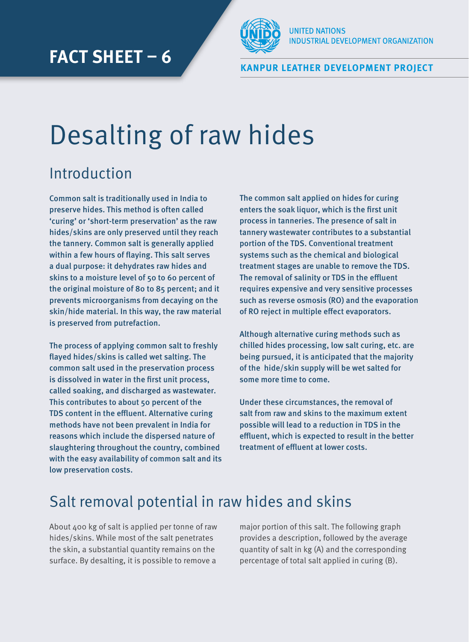

**Kanpur Leather Development Project**

# Desalting of raw hides

### Introduction

Common salt is traditionally used in India to preserve hides. This method is often called 'curing' or 'short-term preservation' as the raw hides/skins are only preserved until they reach the tannery. Common salt is generally applied within a few hours of flaying. This salt serves a dual purpose: it dehydrates raw hides and skins to a moisture level of 50 to 60 percent of the original moisture of 80 to 85 percent; and it prevents microorganisms from decaying on the skin/hide material. In this way, the raw material is preserved from putrefaction.

The process of applying common salt to freshly flayed hides/skins is called wet salting. The common salt used in the preservation process is dissolved in water in the first unit process, called soaking, and discharged as wastewater. This contributes to about 50 percent of the TDS content in the effluent. Alternative curing methods have not been prevalent in India for reasons which include the dispersed nature of slaughtering throughout the country, combined with the easy availability of common salt and its low preservation costs.

The common salt applied on hides for curing enters the soak liquor, which is the first unit process in tanneries. The presence of salt in tannery wastewater contributes to a substantial portion of the TDS. Conventional treatment systems such as the chemical and biological treatment stages are unable to remove the TDS. The removal of salinity or TDS in the effluent requires expensive and very sensitive processes such as reverse osmosis (RO) and the evaporation of RO reject in multiple effect evaporators.

Although alternative curing methods such as chilled hides processing, low salt curing, etc. are being pursued, it is anticipated that the majority of the hide/skin supply will be wet salted for some more time to come.

Under these circumstances, the removal of salt from raw and skins to the maximum extent possible will lead to a reduction in TDS in the effluent, which is expected to result in the better treatment of effluent at lower costs.

### Salt removal potential in raw hides and skins

About 400 kg of salt is applied per tonne of raw hides/skins. While most of the salt penetrates the skin, a substantial quantity remains on the surface. By desalting, it is possible to remove a

major portion of this salt. The following graph provides a description, followed by the average quantity of salt in kg (A) and the corresponding percentage of total salt applied in curing (B).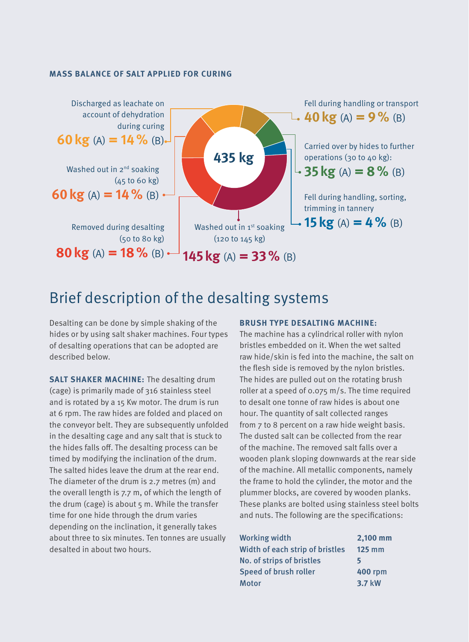#### **Mass balance of salt applied for curing**



### Brief description of the desalting systems

Desalting can be done by simple shaking of the hides or by using salt shaker machines. Four types of desalting operations that can be adopted are described below.

**Salt shaker machine:** The desalting drum (cage) is primarily made of 316 stainless steel and is rotated by a 15 Kw motor. The drum is run at 6 rpm. The raw hides are folded and placed on the conveyor belt. They are subsequently unfolded in the desalting cage and any salt that is stuck to the hides falls off. The desalting process can be timed by modifying the inclination of the drum. The salted hides leave the drum at the rear end. The diameter of the drum is 2.7 metres (m) and the overall length is 7.7 m, of which the length of the drum (cage) is about 5 m. While the transfer time for one hide through the drum varies depending on the inclination, it generally takes about three to six minutes. Ten tonnes are usually desalted in about two hours.

#### **Brush type desalting machine:**

The machine has a cylindrical roller with nylon bristles embedded on it. When the wet salted raw hide/skin is fed into the machine, the salt on the flesh side is removed by the nylon bristles. The hides are pulled out on the rotating brush roller at a speed of 0.075 m/s. The time required to desalt one tonne of raw hides is about one hour. The quantity of salt collected ranges from 7 to 8 percent on a raw hide weight basis. The dusted salt can be collected from the rear of the machine. The removed salt falls over a wooden plank sloping downwards at the rear side of the machine. All metallic components, namely the frame to hold the cylinder, the motor and the plummer blocks, are covered by wooden planks. These planks are bolted using stainless steel bolts and nuts. The following are the specifications:

| <b>Working width</b>             | 2,100 mm       |
|----------------------------------|----------------|
| Width of each strip of bristles  | $125$ mm       |
| <b>No. of strips of bristles</b> | 5              |
| Speed of brush roller            | <b>400 rpm</b> |
| Motor                            | 3.7 kW         |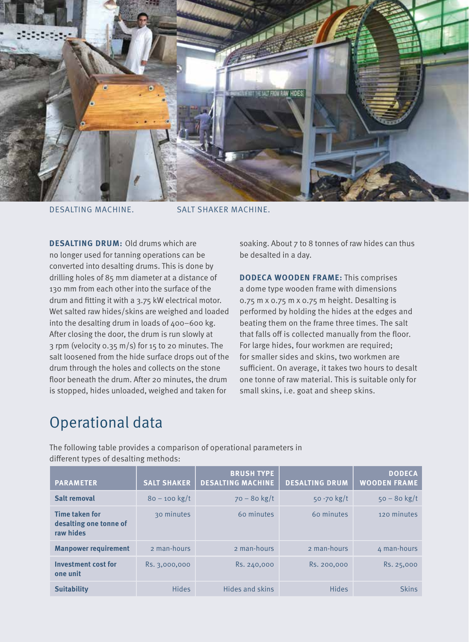

DESALTING MACHINE. SALT SHAKER MACHINE.

**DESALTING DRUM: Old drums which are** no longer used for tanning operations can be converted into desalting drums. This is done by drilling holes of 85 mm diameter at a distance of 130 mm from each other into the surface of the drum and fitting it with a 3.75 kW electrical motor. Wet salted raw hides/skins are weighed and loaded into the desalting drum in loads of 400–600 kg. After closing the door, the drum is run slowly at 3 rpm (velocity 0.35 m/s) for 15 to 20 minutes. The salt loosened from the hide surface drops out of the drum through the holes and collects on the stone floor beneath the drum. After 20 minutes, the drum is stopped, hides unloaded, weighed and taken for

soaking. About 7 to 8 tonnes of raw hides can thus be desalted in a day.

**DODECA Wooden frame:** This comprises a dome type wooden frame with dimensions 0.75 m x 0.75 m x 0.75 m height. Desalting is performed by holding the hides at the edges and beating them on the frame three times. The salt that falls off is collected manually from the floor. For large hides, four workmen are required; for smaller sides and skins, two workmen are sufficient. On average, it takes two hours to desalt one tonne of raw material. This is suitable only for small skins, i.e. goat and sheep skins.

### Operational data

The following table provides a comparison of operational parameters in different types of desalting methods:

| <b>PARAMETER</b>                                             | <b>SALT SHAKER</b> | <b>BRUSH TYPE</b><br><b>DESALTING MACHINE</b> | <b>DESALTING DRUM</b> | <b>DODECA</b><br><b>WOODEN FRAME</b> |
|--------------------------------------------------------------|--------------------|-----------------------------------------------|-----------------------|--------------------------------------|
| <b>Salt removal</b>                                          | $80 - 100$ kg/t    | $70 - 80$ kg/t                                | 50 -70 kg/t           | $50 - 80$ kg/t                       |
| <b>Time taken for</b><br>desalting one tonne of<br>raw hides | 30 minutes         | 60 minutes                                    | 60 minutes            | 120 minutes                          |
| <b>Manpower requirement</b>                                  | 2 man-hours        | 2 man-hours                                   | 2 man-hours           | 4 man-hours                          |
| <b>Investment cost for</b><br>one unit                       | Rs. 3,000,000      | Rs. 240,000                                   | Rs. 200,000           | Rs. 25,000                           |
| <b>Suitability</b>                                           | <b>Hides</b>       | <b>Hides and skins</b>                        | <b>Hides</b>          | <b>Skins</b>                         |